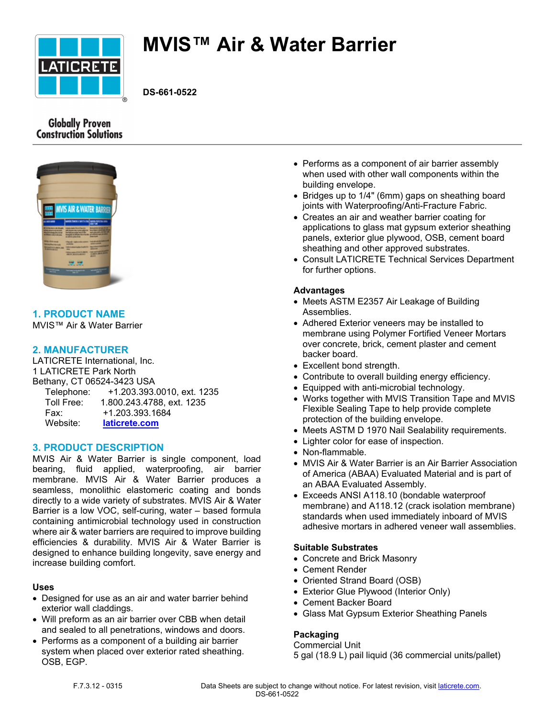

# **MVIS™ Air & Water Barrier**

**DS-661-0522**

# **Globally Proven Construction Solutions**



**1. PRODUCT NAME** MVIS™ Air & Water Barrier

## **2. MANUFACTURER**

LATICRETE International, Inc. 1 LATICRETE Park North Bethany, CT 06524-3423 USA Telephone: +1.203.393.0010, ext. 1235 Toll Free: 1.800.243.4788, ext. 1235 Fax: +1.203.393.1684 Website: **[laticrete.com](https://laticrete.com/)**

## **3. PRODUCT DESCRIPTION**

MVIS Air & Water Barrier is single component, load bearing, fluid applied, waterproofing, air barrier membrane. MVIS Air & Water Barrier produces a seamless, monolithic elastomeric coating and bonds directly to a wide variety of substrates. MVIS Air & Water Barrier is a low VOC, self-curing, water – based formula containing antimicrobial technology used in construction where air & water barriers are required to improve building efficiencies & durability. MVIS Air & Water Barrier is designed to enhance building longevity, save energy and increase building comfort.

#### **Uses**

- Designed for use as an air and water barrier behind exterior wall claddings.
- Will preform as an air barrier over CBB when detail and sealed to all penetrations, windows and doors.
- Performs as a component of a building air barrier system when placed over exterior rated sheathing. OSB, EGP.
- Performs as a component of air barrier assembly when used with other wall components within the building envelope.
- Bridges up to 1/4" (6mm) gaps on sheathing board joints with Waterproofing/Anti-Fracture Fabric.
- Creates an air and weather barrier coating for applications to glass mat gypsum exterior sheathing panels, exterior glue plywood, OSB, cement board sheathing and other approved substrates.
- Consult LATICRETE Technical Services Department for further options.

## **Advantages**

- Meets ASTM E2357 Air Leakage of Building Assemblies.
- Adhered Exterior veneers may be installed to membrane using Polymer Fortified Veneer Mortars over concrete, brick, cement plaster and cement backer board.
- Excellent bond strength.
- Contribute to overall building energy efficiency.
- Equipped with anti-microbial technology.
- Works together with MVIS Transition Tape and MVIS Flexible Sealing Tape to help provide complete protection of the building envelope.
- Meets ASTM D 1970 Nail Sealability requirements.
- Lighter color for ease of inspection.
- Non-flammable.
- MVIS Air & Water Barrier is an Air Barrier Association of America (ABAA) Evaluated Material and is part of an ABAA Evaluated Assembly.
- Exceeds ANSI A118.10 (bondable waterproof membrane) and A118.12 (crack isolation membrane) standards when used immediately inboard of MVIS adhesive mortars in adhered veneer wall assemblies.

## **Suitable Substrates**

- Concrete and Brick Masonry
- Cement Render
- Oriented Strand Board (OSB)
- Exterior Glue Plywood (Interior Only)
- Cement Backer Board
- Glass Mat Gypsum Exterior Sheathing Panels

# **Packaging**

Commercial Unit 5 gal (18.9 L) pail liquid (36 commercial units/pallet)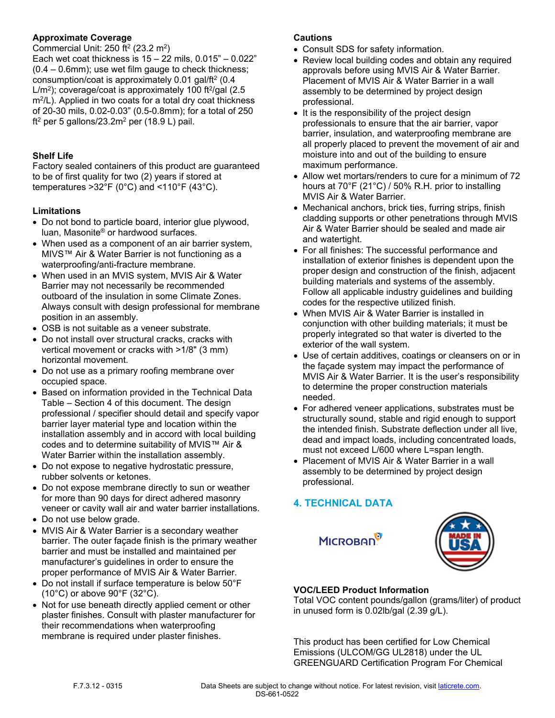## **Approximate Coverage**

Commercial Unit: 250 ft<sup>2</sup> (23.2 m<sup>2</sup>)

Each wet coat thickness is  $15 - 22$  mils,  $0.015" - 0.022"$ (0.4 – 0.6mm); use wet film gauge to check thickness; consumption/coat is approximately 0.01 gal/ft<sup>2</sup> (0.4 L/m<sup>2</sup>); coverage/coat is approximately 100 ft<sup>2</sup>/gal (2.5 m<sup>2</sup> /L). Applied in two coats for a total dry coat thickness of 20-30 mils, 0.02-0.03" (0.5-0.8mm); for a total of 250 ft2 per 5 gallons/23.2m<sup>2</sup> per (18.9 L) pail.

## **Shelf Life**

Factory sealed containers of this product are guaranteed to be of first quality for two (2) years if stored at temperatures >32°F (0°C) and <110°F (43°C).

## **Limitations**

- Do not bond to particle board, interior glue plywood, luan, Masonite® or hardwood surfaces.
- When used as a component of an air barrier system, MIVS™ Air & Water Barrier is not functioning as a waterproofing/anti-fracture membrane.
- When used in an MVIS system, MVIS Air & Water Barrier may not necessarily be recommended outboard of the insulation in some Climate Zones. Always consult with design professional for membrane position in an assembly.
- OSB is not suitable as a veneer substrate.
- Do not install over structural cracks, cracks with vertical movement or cracks with >1/8" (3 mm) horizontal movement.
- Do not use as a primary roofing membrane over occupied space.
- Based on information provided in the Technical Data Table – Section 4 of this document. The design professional / specifier should detail and specify vapor barrier layer material type and location within the installation assembly and in accord with local building codes and to determine suitability of MVIS™ Air & Water Barrier within the installation assembly.
- Do not expose to negative hydrostatic pressure, rubber solvents or ketones.
- Do not expose membrane directly to sun or weather for more than 90 days for direct adhered masonry veneer or cavity wall air and water barrier installations.
- Do not use below grade.
- MVIS Air & Water Barrier is a secondary weather barrier. The outer façade finish is the primary weather barrier and must be installed and maintained per manufacturer's guidelines in order to ensure the proper performance of MVIS Air & Water Barrier.
- Do not install if surface temperature is below 50°F (10°C) or above 90°F (32°C).
- Not for use beneath directly applied cement or other plaster finishes. Consult with plaster manufacturer for their recommendations when waterproofing membrane is required under plaster finishes.

## **Cautions**

- Consult SDS for safety information.
- Review local building codes and obtain any required approvals before using MVIS Air & Water Barrier. Placement of MVIS Air & Water Barrier in a wall assembly to be determined by project design professional.
- It is the responsibility of the project design professionals to ensure that the air barrier, vapor barrier, insulation, and waterproofing membrane are all properly placed to prevent the movement of air and moisture into and out of the building to ensure maximum performance.
- Allow wet mortars/renders to cure for a minimum of 72 hours at 70°F (21°C) / 50% R.H. prior to installing MVIS Air & Water Barrier.
- Mechanical anchors, brick ties, furring strips, finish cladding supports or other penetrations through MVIS Air & Water Barrier should be sealed and made air and watertight.
- For all finishes: The successful performance and installation of exterior finishes is dependent upon the proper design and construction of the finish, adjacent building materials and systems of the assembly. Follow all applicable industry guidelines and building codes for the respective utilized finish.
- When MVIS Air & Water Barrier is installed in conjunction with other building materials; it must be properly integrated so that water is diverted to the exterior of the wall system.
- Use of certain additives, coatings or cleansers on or in the façade system may impact the performance of MVIS Air & Water Barrier. It is the user's responsibility to determine the proper construction materials needed.
- For adhered veneer applications, substrates must be structurally sound, stable and rigid enough to support the intended finish. Substrate deflection under all live, dead and impact loads, including concentrated loads, must not exceed L/600 where L=span length.
- Placement of MVIS Air & Water Barrier in a wall assembly to be determined by project design professional.

# **4. TECHNICAL DATA**

**MICROBAN** 



# **VOC/LEED Product Information**

Total VOC content pounds/gallon (grams/liter) of product in unused form is 0.02lb/gal (2.39 g/L).

This product has been certified for Low Chemical Emissions (ULCOM/GG UL2818) under the UL GREENGUARD Certification Program For Chemical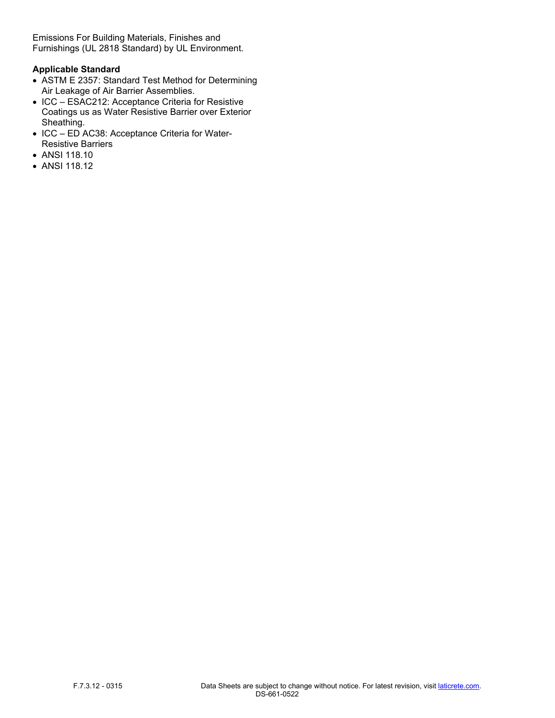Emissions For Building Materials, Finishes and Furnishings (UL 2818 Standard) by UL Environment.

## **Applicable Standard**

- ASTM E 2357: Standard Test Method for Determining Air Leakage of Air Barrier Assemblies.
- ICC ESAC212: Acceptance Criteria for Resistive Coatings us as Water Resistive Barrier over Exterior Sheathing.
- ICC ED AC38: Acceptance Criteria for Water-Resistive Barriers
- ANSI 118.10
- ANSI 118.12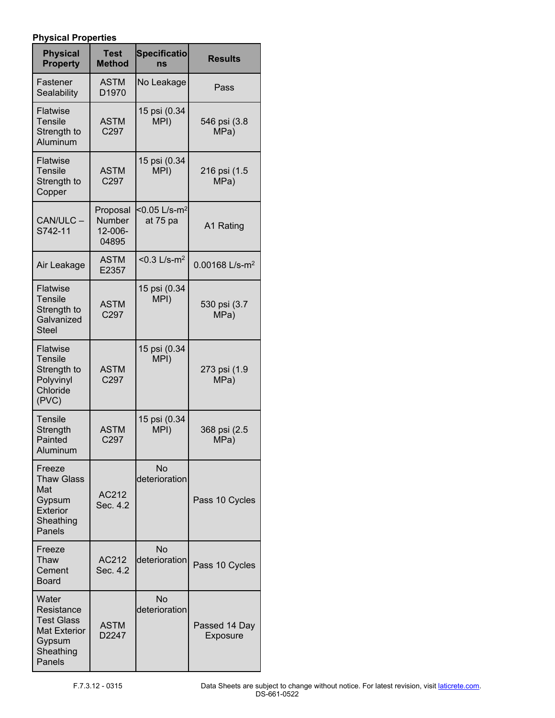## **Physical Properties**

| <b>Physical</b><br><b>Property</b>                                                               | <b>Test</b><br><b>Method</b>           | <b>Specificatio</b><br>ns               | <b>Results</b>             |
|--------------------------------------------------------------------------------------------------|----------------------------------------|-----------------------------------------|----------------------------|
| Fastener<br>Sealability                                                                          | <b>ASTM</b><br>D1970                   | No Leakage                              | Pass                       |
| Flatwise<br><b>Tensile</b><br>Strength to<br>Aluminum                                            | <b>ASTM</b><br>C <sub>297</sub>        | 15 psi (0.34<br>MPI)                    | 546 psi (3.8<br>MPa)       |
| <b>Flatwise</b><br>Tensile<br>Strength to<br>Copper                                              | <b>ASTM</b><br>C297                    | 15 psi (0.34<br>MPI)                    | 216 psi (1.5<br>MPa)       |
| CAN/ULC-<br>S742-11                                                                              | Proposal<br>Number<br>12-006-<br>04895 | $<$ 0.05 L/s-m <sup>2</sup><br>at 75 pa | A1 Rating                  |
| Air Leakage                                                                                      | <b>ASTM</b><br>E2357                   | $< 0.3$ L/s-m <sup>2</sup>              | 0.00168 L/s-m <sup>2</sup> |
| Flatwise<br><b>Tensile</b><br>Strength to<br>Galvanized<br><b>Steel</b>                          | <b>ASTM</b><br>C297                    | 15 psi (0.34<br>MPI)                    | 530 psi (3.7<br>MPa)       |
| <b>Flatwise</b><br><b>Tensile</b><br>Strength to<br>Polyvinyl<br>Chloride<br>(PVC)               | <b>ASTM</b><br>C297                    | 15 psi (0.34<br>MPI)                    | 273 psi (1.9<br>MPa)       |
| <b>Tensile</b><br>Strength<br>Painted<br>Aluminum                                                | <b>ASTM</b><br>C297                    | 15 psi (0.34<br>MPI)                    | 368 psi (2.5<br>MPa)       |
| Freeze<br><b>Thaw Glass</b><br>Mat<br>Gypsum<br><b>Exterior</b><br>Sheathing<br>Panels           | AC212<br>Sec. 4.2                      | <b>No</b><br>deterioration              | Pass 10 Cycles             |
| Freeze<br>Thaw<br>Cement<br>Board                                                                | AC212<br>Sec. 4.2                      | <b>No</b><br>deterioration              | Pass 10 Cycles             |
| Water<br>Resistance<br><b>Test Glass</b><br><b>Mat Exterior</b><br>Gypsum<br>Sheathing<br>Panels | <b>ASTM</b><br>D2247                   | <b>No</b><br>deterioration              | Passed 14 Day<br>Exposure  |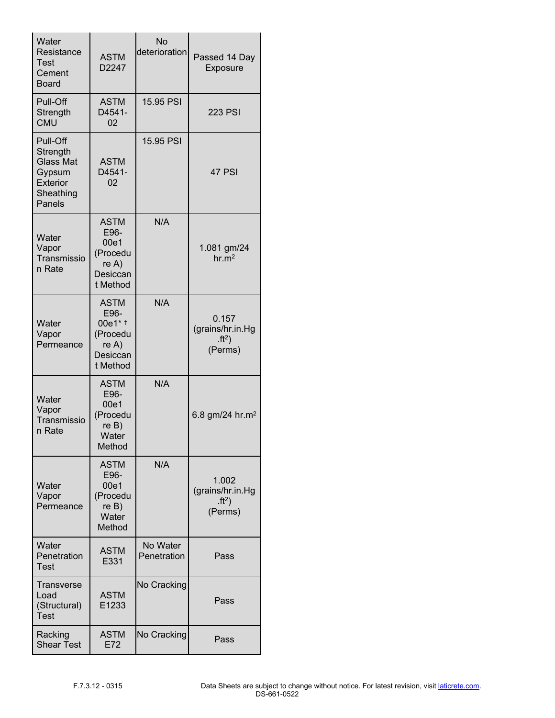| Water<br>Resistance<br><b>Test</b><br>Cement<br><b>Board</b>                                 | <b>ASTM</b><br>D2247                                                                   | <b>No</b><br>deterioration | Passed 14 Day<br>Exposure                                         |
|----------------------------------------------------------------------------------------------|----------------------------------------------------------------------------------------|----------------------------|-------------------------------------------------------------------|
| Pull-Off<br>Strength<br><b>CMU</b>                                                           | <b>ASTM</b><br>D4541-<br>02                                                            | 15.95 PSI                  | <b>223 PSI</b>                                                    |
| Pull-Off<br>Strength<br><b>Glass Mat</b><br>Gypsum<br><b>Exterior</b><br>Sheathing<br>Panels | <b>ASTM</b><br>D4541-<br>02                                                            | 15.95 PSI                  | 47 PSI                                                            |
| Water<br>Vapor<br>Transmissio<br>n Rate                                                      | <b>ASTM</b><br>E96-<br>00e1<br>(Procedu<br>re A)<br>Desiccan<br>t Method               | N/A                        | 1.081 gm/24<br>hr.m <sup>2</sup>                                  |
| Water<br>Vapor<br>Permeance                                                                  | <b>ASTM</b><br>E96-<br>00e1* <sup>+</sup><br>(Procedu<br>re A)<br>Desiccan<br>t Method | N/A                        | 0.157<br>(grains/hr.in.Hg<br>$ft2$ )<br>(Perms)                   |
| Water<br>Vapor<br>Transmissio<br>n Rate                                                      | <b>ASTM</b><br>E96-<br>00e1<br>(Procedu<br>reB)<br>Water<br>Method                     | N/A                        | 6.8 gm/24 hr.m <sup>2</sup>                                       |
| Water<br>Vapor<br>Permeance                                                                  | <b>ASTM</b><br>E96-<br>00e1<br>(Procedu<br>reB)<br>Water<br>Method                     | N/A                        | 1.002<br>(grains/hr.in.Hg<br>$\cdot$ ft <sup>2</sup> )<br>(Perms) |
| Water<br>Penetration<br>Test                                                                 | <b>ASTM</b><br>E331                                                                    | No Water<br>Penetration    | Pass                                                              |
| Transverse<br>Load<br>(Structural)<br>Test                                                   | <b>ASTM</b><br>E1233                                                                   | No Cracking                | Pass                                                              |
| Racking<br><b>Shear Test</b>                                                                 | <b>ASTM</b><br>E72                                                                     | No Cracking                | Pass                                                              |